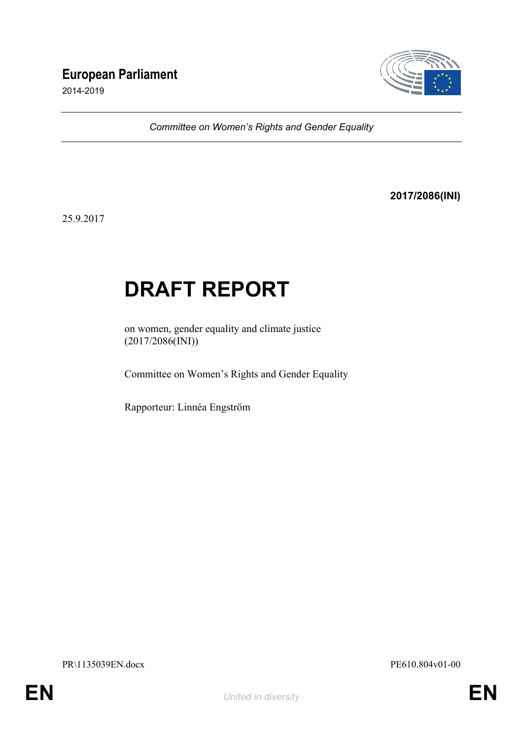# **European Parliament**

2014-2019



*Committee on Women's Rights and Gender Equality*

**2017/2086(INI)**

25.9.2017

# **DRAFT REPORT**

on women, gender equality and climate justice (2017/2086(INI))

Committee on Women's Rights and Gender Equality

Rapporteur: Linnéa Engström

PR\1135039EN.docx PE610.804v01-00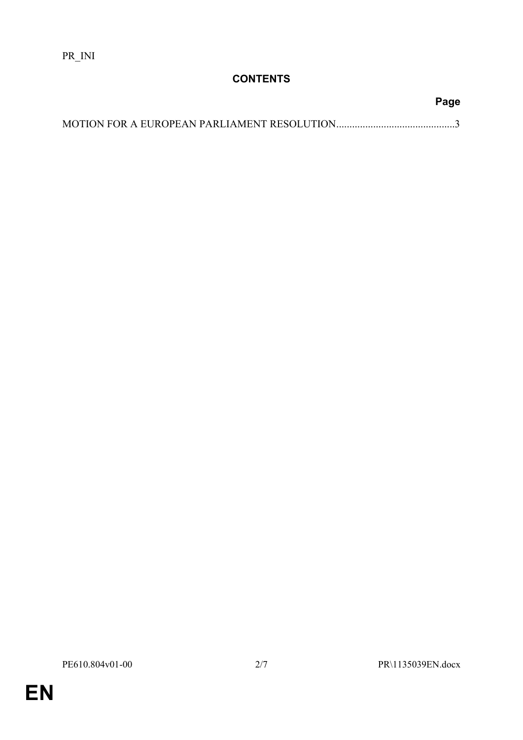## **CONTENTS**

| Page |
|------|
|      |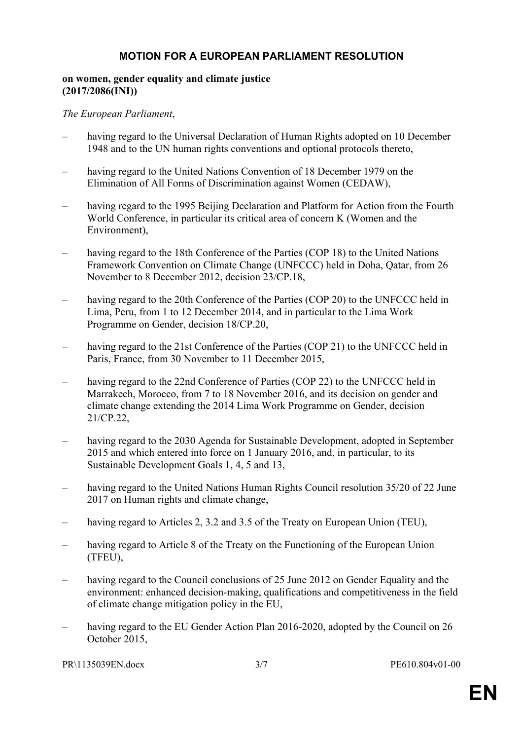### <span id="page-2-0"></span>**MOTION FOR A EUROPEAN PARLIAMENT RESOLUTION**

#### **on women, gender equality and climate justice (2017/2086(INI))**

#### *The European Parliament*,

- having regard to the Universal Declaration of Human Rights adopted on 10 December 1948 and to the UN human rights conventions and optional protocols thereto,
- having regard to the United Nations Convention of 18 December 1979 on the Elimination of All Forms of Discrimination against Women (CEDAW),
- having regard to the 1995 Beijing Declaration and Platform for Action from the Fourth World Conference, in particular its critical area of concern K (Women and the Environment),
- having regard to the 18th Conference of the Parties (COP 18) to the United Nations Framework Convention on Climate Change (UNFCCC) held in Doha, Qatar, from 26 November to 8 December 2012, decision 23/CP.18,
- having regard to the 20th Conference of the Parties (COP 20) to the UNFCCC held in Lima, Peru, from 1 to 12 December 2014, and in particular to the Lima Work Programme on Gender, decision 18/CP.20,
- having regard to the 21st Conference of the Parties (COP 21) to the UNFCCC held in Paris, France, from 30 November to 11 December 2015,
- having regard to the 22nd Conference of Parties (COP 22) to the UNFCCC held in Marrakech, Morocco, from 7 to 18 November 2016, and its decision on gender and climate change extending the 2014 Lima Work Programme on Gender, decision 21/CP.22,
- having regard to the 2030 Agenda for Sustainable Development, adopted in September 2015 and which entered into force on 1 January 2016, and, in particular, to its Sustainable Development Goals 1, 4, 5 and 13,
- having regard to the United Nations Human Rights Council resolution 35/20 of 22 June 2017 on Human rights and climate change,
- having regard to Articles 2, 3.2 and 3.5 of the Treaty on European Union (TEU),
- having regard to Article 8 of the Treaty on the Functioning of the European Union (TFEU),
- having regard to the Council conclusions of 25 June 2012 on Gender Equality and the environment: enhanced decision-making, qualifications and competitiveness in the field of climate change mitigation policy in the EU,
- having regard to the EU Gender Action Plan 2016-2020, adopted by the Council on 26 October 2015,

PR\1135039EN.docx 3/7 PE610.804v01-00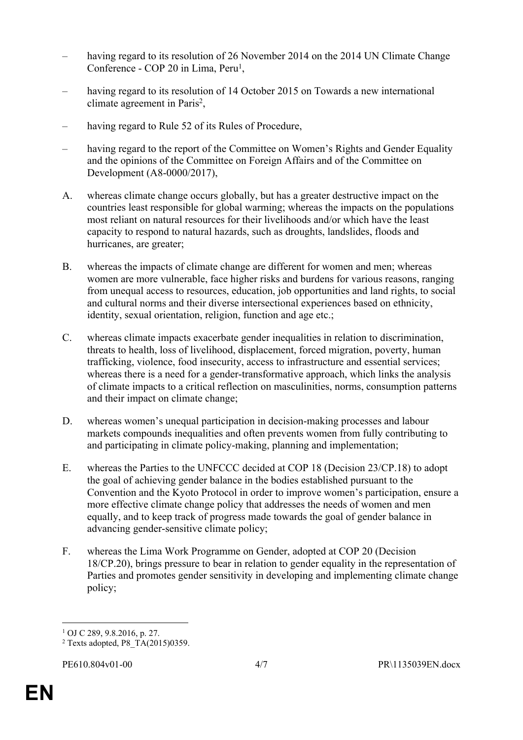- having regard to its resolution of 26 November 2014 on the 2014 UN Climate Change Conference - COP 20 in Lima, Peru<sup>1</sup>,
- having regard to its resolution of 14 October 2015 on Towards a new international climate agreement in Paris<sup>2</sup>,
- having regard to Rule 52 of its Rules of Procedure,
- having regard to the report of the Committee on Women's Rights and Gender Equality and the opinions of the Committee on Foreign Affairs and of the Committee on Development (A8-0000/2017),
- A. whereas climate change occurs globally, but has a greater destructive impact on the countries least responsible for global warming; whereas the impacts on the populations most reliant on natural resources for their livelihoods and/or which have the least capacity to respond to natural hazards, such as droughts, landslides, floods and hurricanes, are greater;
- B. whereas the impacts of climate change are different for women and men; whereas women are more vulnerable, face higher risks and burdens for various reasons, ranging from unequal access to resources, education, job opportunities and land rights, to social and cultural norms and their diverse intersectional experiences based on ethnicity, identity, sexual orientation, religion, function and age etc.;
- C. whereas climate impacts exacerbate gender inequalities in relation to discrimination, threats to health, loss of livelihood, displacement, forced migration, poverty, human trafficking, violence, food insecurity, access to infrastructure and essential services; whereas there is a need for a gender-transformative approach, which links the analysis of climate impacts to a critical reflection on masculinities, norms, consumption patterns and their impact on climate change;
- D. whereas women's unequal participation in decision-making processes and labour markets compounds inequalities and often prevents women from fully contributing to and participating in climate policy-making, planning and implementation;
- E. whereas the Parties to the UNFCCC decided at COP 18 (Decision 23/CP.18) to adopt the goal of achieving gender balance in the bodies established pursuant to the Convention and the Kyoto Protocol in order to improve women's participation, ensure a more effective climate change policy that addresses the needs of women and men equally, and to keep track of progress made towards the goal of gender balance in advancing gender-sensitive climate policy;
- F. whereas the Lima Work Programme on Gender, adopted at COP 20 (Decision 18/CP.20), brings pressure to bear in relation to gender equality in the representation of Parties and promotes gender sensitivity in developing and implementing climate change policy;

<sup>1</sup> OJ C 289, 9.8.2016, p. 27.

<sup>2</sup> Texts adopted, P8\_TA(2015)0359.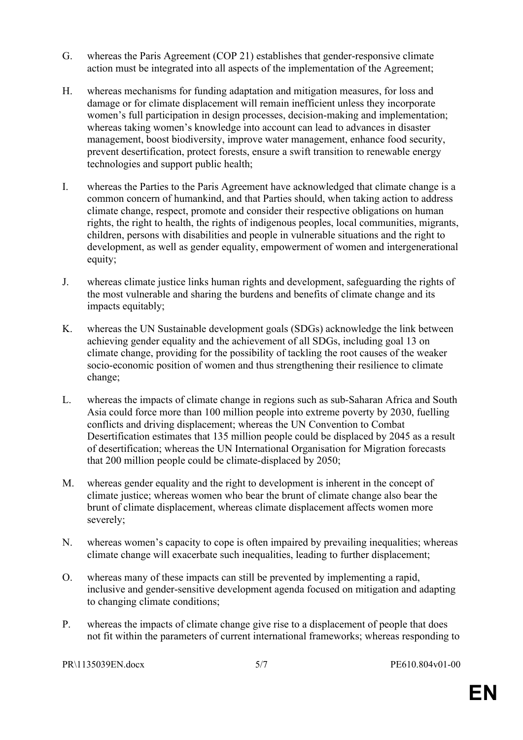- G. whereas the Paris Agreement (COP 21) establishes that gender-responsive climate action must be integrated into all aspects of the implementation of the Agreement;
- H. whereas mechanisms for funding adaptation and mitigation measures, for loss and damage or for climate displacement will remain inefficient unless they incorporate women's full participation in design processes, decision-making and implementation; whereas taking women's knowledge into account can lead to advances in disaster management, boost biodiversity, improve water management, enhance food security, prevent desertification, protect forests, ensure a swift transition to renewable energy technologies and support public health;
- I. whereas the Parties to the Paris Agreement have acknowledged that climate change is a common concern of humankind, and that Parties should, when taking action to address climate change, respect, promote and consider their respective obligations on human rights, the right to health, the rights of indigenous peoples, local communities, migrants, children, persons with disabilities and people in vulnerable situations and the right to development, as well as gender equality, empowerment of women and intergenerational equity;
- J. whereas climate justice links human rights and development, safeguarding the rights of the most vulnerable and sharing the burdens and benefits of climate change and its impacts equitably;
- K. whereas the UN Sustainable development goals (SDGs) acknowledge the link between achieving gender equality and the achievement of all SDGs, including goal 13 on climate change, providing for the possibility of tackling the root causes of the weaker socio-economic position of women and thus strengthening their resilience to climate change;
- L. whereas the impacts of climate change in regions such as sub-Saharan Africa and South Asia could force more than 100 million people into extreme poverty by 2030, fuelling conflicts and driving displacement; whereas the UN Convention to Combat Desertification estimates that 135 million people could be displaced by 2045 as a result of desertification; whereas the UN International Organisation for Migration forecasts that 200 million people could be climate-displaced by 2050;
- M. whereas gender equality and the right to development is inherent in the concept of climate justice; whereas women who bear the brunt of climate change also bear the brunt of climate displacement, whereas climate displacement affects women more severely;
- N. whereas women's capacity to cope is often impaired by prevailing inequalities; whereas climate change will exacerbate such inequalities, leading to further displacement;
- O. whereas many of these impacts can still be prevented by implementing a rapid, inclusive and gender-sensitive development agenda focused on mitigation and adapting to changing climate conditions;
- P. whereas the impacts of climate change give rise to a displacement of people that does not fit within the parameters of current international frameworks; whereas responding to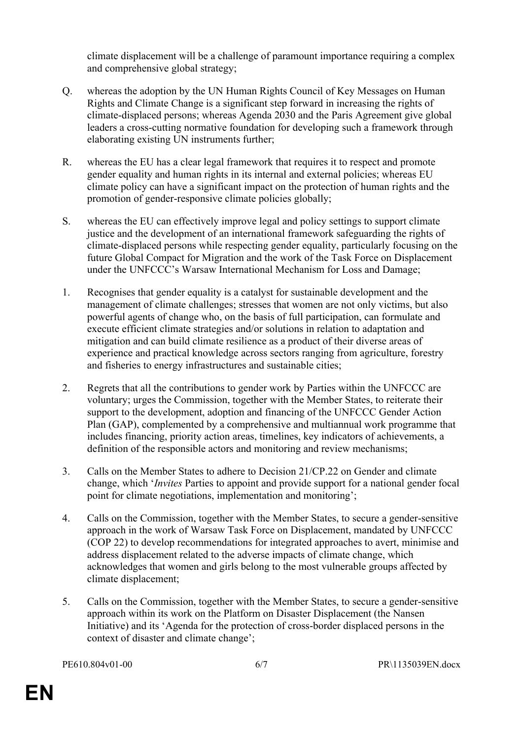climate displacement will be a challenge of paramount importance requiring a complex and comprehensive global strategy;

- Q. whereas the adoption by the UN Human Rights Council of Key Messages on Human Rights and Climate Change is a significant step forward in increasing the rights of climate-displaced persons; whereas Agenda 2030 and the Paris Agreement give global leaders a cross-cutting normative foundation for developing such a framework through elaborating existing UN instruments further;
- R. whereas the EU has a clear legal framework that requires it to respect and promote gender equality and human rights in its internal and external policies; whereas EU climate policy can have a significant impact on the protection of human rights and the promotion of gender-responsive climate policies globally;
- S. whereas the EU can effectively improve legal and policy settings to support climate justice and the development of an international framework safeguarding the rights of climate-displaced persons while respecting gender equality, particularly focusing on the future Global Compact for Migration and the work of the Task Force on Displacement under the UNFCCC's Warsaw International Mechanism for Loss and Damage;
- 1. Recognises that gender equality is a catalyst for sustainable development and the management of climate challenges; stresses that women are not only victims, but also powerful agents of change who, on the basis of full participation, can formulate and execute efficient climate strategies and/or solutions in relation to adaptation and mitigation and can build climate resilience as a product of their diverse areas of experience and practical knowledge across sectors ranging from agriculture, forestry and fisheries to energy infrastructures and sustainable cities;
- 2. Regrets that all the contributions to gender work by Parties within the UNFCCC are voluntary; urges the Commission, together with the Member States, to reiterate their support to the development, adoption and financing of the UNFCCC Gender Action Plan (GAP), complemented by a comprehensive and multiannual work programme that includes financing, priority action areas, timelines, key indicators of achievements, a definition of the responsible actors and monitoring and review mechanisms;
- 3. Calls on the Member States to adhere to Decision 21/CP.22 on Gender and climate change, which '*Invites* Parties to appoint and provide support for a national gender focal point for climate negotiations, implementation and monitoring';
- 4. Calls on the Commission, together with the Member States, to secure a gender-sensitive approach in the work of Warsaw Task Force on Displacement, mandated by UNFCCC (COP 22) to develop recommendations for integrated approaches to avert, minimise and address displacement related to the adverse impacts of climate change, which acknowledges that women and girls belong to the most vulnerable groups affected by climate displacement;
- 5. Calls on the Commission, together with the Member States, to secure a gender-sensitive approach within its work on the Platform on Disaster Displacement (the Nansen Initiative) and its 'Agenda for the protection of cross-border displaced persons in the context of disaster and climate change';